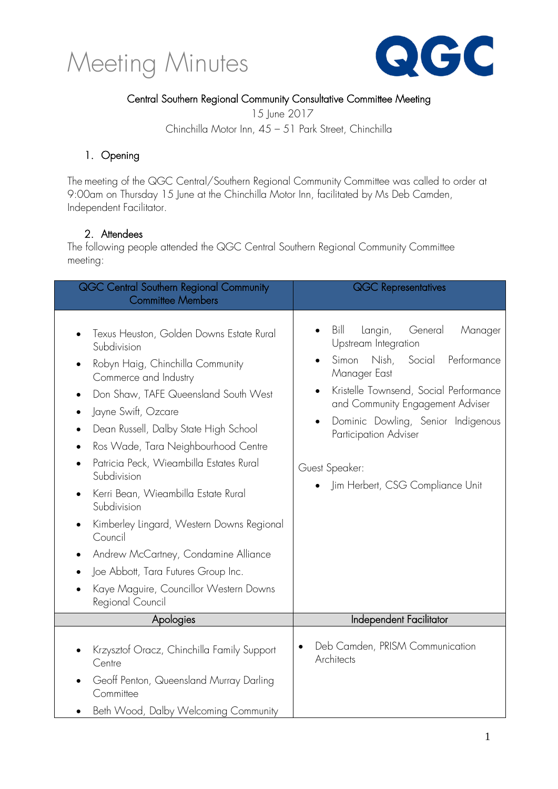



#### Central Southern Regional Community Consultative Committee Meeting

15 June 2017

Chinchilla Motor Inn, 45 – 51 Park Street, Chinchilla

#### 1. Opening

The meeting of the QGC Central/Southern Regional Community Committee was called to order at 9:00am on Thursday 15 June at the Chinchilla Motor Inn, facilitated by Ms Deb Camden, Independent Facilitator.

#### 2. Attendees

The following people attended the QGC Central Southern Regional Community Committee meeting:

| <b>QGC Central Southern Regional Community</b><br><b>Committee Members</b>                                                                                                                                                                                                                                                                                                                                                                                                                                                                                                                                                           | <b>QGC Representatives</b>                                                                                                                                                                                                                                                                                                                            |
|--------------------------------------------------------------------------------------------------------------------------------------------------------------------------------------------------------------------------------------------------------------------------------------------------------------------------------------------------------------------------------------------------------------------------------------------------------------------------------------------------------------------------------------------------------------------------------------------------------------------------------------|-------------------------------------------------------------------------------------------------------------------------------------------------------------------------------------------------------------------------------------------------------------------------------------------------------------------------------------------------------|
| Texus Heuston, Golden Downs Estate Rural<br>Subdivision<br>Robyn Haig, Chinchilla Community<br>Commerce and Industry<br>Don Shaw, TAFE Queensland South West<br>$\bullet$<br>Jayne Swift, Ozcare<br>$\bullet$<br>Dean Russell, Dalby State High School<br>Ros Wade, Tara Neighbourhood Centre<br>$\bullet$<br>Patricia Peck, Wieambilla Estates Rural<br>Subdivision<br>Kerri Bean, Wieambilla Estate Rural<br>Subdivision<br>Kimberley Lingard, Western Downs Regional<br>٠<br>Council<br>Andrew McCartney, Condamine Alliance<br>Joe Abbott, Tara Futures Group Inc.<br>Kaye Maguire, Councillor Western Downs<br>Regional Council | Bill<br>Langin,<br>General<br>Manager<br>Upstream Integration<br>Nish,<br>Social<br>Performance<br>Simon<br>Manager East<br>Kristelle Townsend, Social Performance<br>$\bullet$<br>and Community Engagement Adviser<br>Dominic Dowling, Senior Indigenous<br>$\bullet$<br>Participation Adviser<br>Guest Speaker:<br>Jim Herbert, CSG Compliance Unit |
| Apologies                                                                                                                                                                                                                                                                                                                                                                                                                                                                                                                                                                                                                            | Independent Facilitator                                                                                                                                                                                                                                                                                                                               |
| Krzysztof Oracz, Chinchilla Family Support<br>Centre<br>Geoff Penton, Queensland Murray Darling<br>Committee<br>Beth Wood, Dalby Welcoming Community                                                                                                                                                                                                                                                                                                                                                                                                                                                                                 | Deb Camden, PRISM Communication<br>Architects                                                                                                                                                                                                                                                                                                         |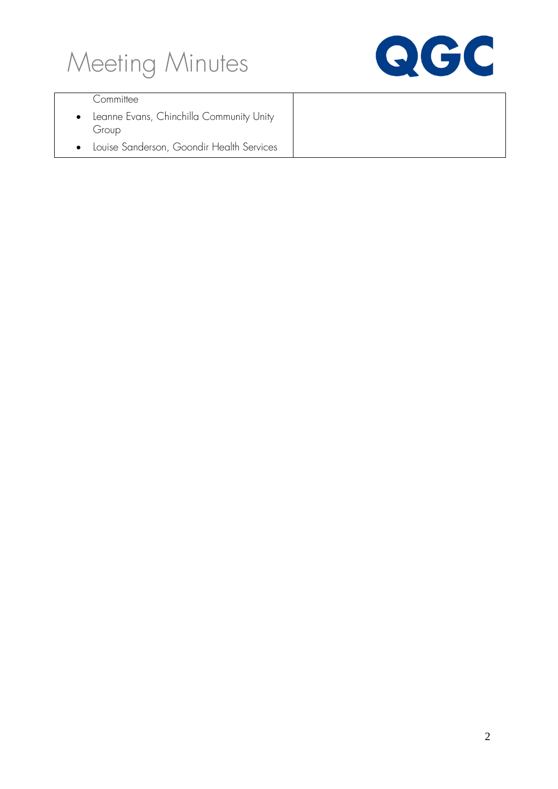



#### **Committee**

- Leanne Evans, Chinchilla Community Unity Group
- Louise Sanderson, Goondir Health Services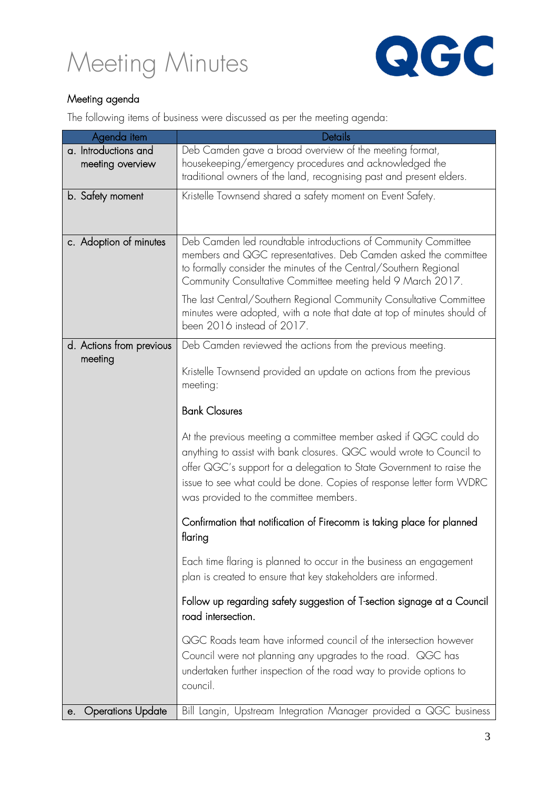



#### Meeting agenda

The following items of business were discussed as per the meeting agenda:

| Agenda item                    | Details                                                                 |
|--------------------------------|-------------------------------------------------------------------------|
| a. Introductions and           | Deb Camden gave a broad overview of the meeting format,                 |
| meeting overview               | housekeeping/emergency procedures and acknowledged the                  |
|                                | traditional owners of the land, recognising past and present elders.    |
| b. Satety moment               | Kristelle Townsend shared a safety moment on Event Safety.              |
|                                |                                                                         |
|                                |                                                                         |
| c. Adoption of minutes         | Deb Camden led roundtable introductions of Community Committee          |
|                                | members and QGC representatives. Deb Camden asked the committee         |
|                                | to formally consider the minutes of the Central/Southern Regional       |
|                                | Community Consultative Committee meeting held 9 March 2017.             |
|                                | The last Central/Southern Regional Community Consultative Committee     |
|                                | minutes were adopted, with a note that date at top of minutes should of |
|                                | been 2016 instead of 2017.                                              |
| d. Actions from previous       | Deb Camden reviewed the actions from the previous meeting.              |
| meeting                        |                                                                         |
|                                | Kristelle Townsend provided an update on actions from the previous      |
|                                | meeting:                                                                |
|                                | <b>Bank Closures</b>                                                    |
|                                |                                                                         |
|                                | At the previous meeting a committee member asked if QGC could do        |
|                                | anything to assist with bank closures. QGC would wrote to Council to    |
|                                | offer QGC's support for a delegation to State Government to raise the   |
|                                | issue to see what could be done. Copies of response letter form WDRC    |
|                                | was provided to the committee members.                                  |
|                                |                                                                         |
|                                | Confirmation that notification of Firecomm is taking place for planned  |
|                                | flaring                                                                 |
|                                | Each time flaring is planned to occur in the business an engagement     |
|                                | plan is created to ensure that key stakeholders are informed.           |
|                                |                                                                         |
|                                | Follow up regarding safety suggestion of T-section signage at a Council |
|                                | road intersection.                                                      |
|                                | QGC Roads team have informed council of the intersection however        |
|                                | Council were not planning any upgrades to the road. QGC has             |
|                                | undertaken further inspection of the road way to provide options to     |
|                                | council.                                                                |
|                                |                                                                         |
| <b>Operations Update</b><br>е. | Bill Langin, Upstream Integration Manager provided a QGC business       |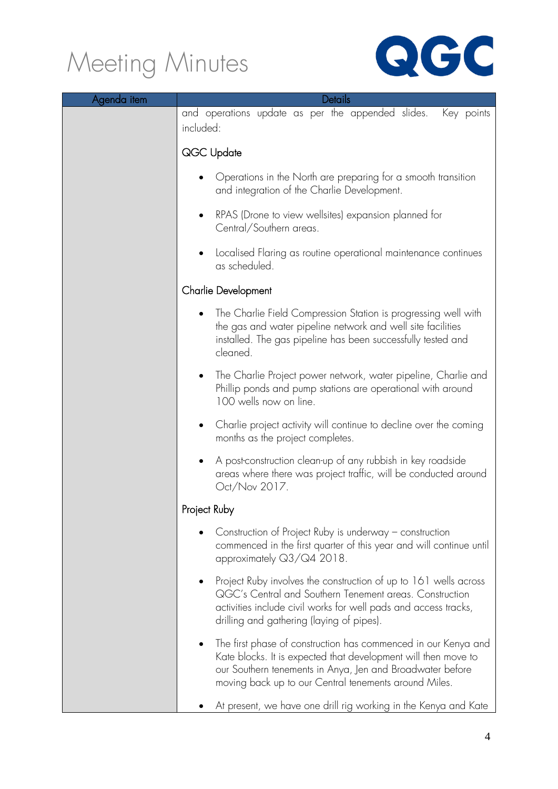

| Agenda item | Details                                                                                                                                                                                                                                                             |
|-------------|---------------------------------------------------------------------------------------------------------------------------------------------------------------------------------------------------------------------------------------------------------------------|
|             | and operations update as per the appended slides.<br>Key points<br>included:                                                                                                                                                                                        |
|             | QGC Update                                                                                                                                                                                                                                                          |
|             | Operations in the North are preparing for a smooth transition<br>and integration of the Charlie Development.                                                                                                                                                        |
|             | RPAS (Drone to view wellsites) expansion planned for<br>٠<br>Central/Southern areas.                                                                                                                                                                                |
|             | Localised Flaring as routine operational maintenance continues<br>as scheduled.                                                                                                                                                                                     |
|             | <b>Charlie Development</b>                                                                                                                                                                                                                                          |
|             | The Charlie Field Compression Station is progressing well with<br>the gas and water pipeline network and well site facilities<br>installed. The gas pipeline has been successfully tested and<br>cleaned.                                                           |
|             | The Charlie Project power network, water pipeline, Charlie and<br>$\bullet$<br>Phillip ponds and pump stations are operational with around<br>100 wells now on line.                                                                                                |
|             | Charlie project activity will continue to decline over the coming<br>months as the project completes.                                                                                                                                                               |
|             | A post-construction clean-up of any rubbish in key roadside<br>$\bullet$<br>areas where there was project traffic, will be conducted around<br>Oct/Nov 2017.                                                                                                        |
|             | Project Ruby                                                                                                                                                                                                                                                        |
|             | Construction of Project Ruby is underway $-$ construction<br>commenced in the first quarter of this year and will continue until<br>approximately Q3/Q4 2018.                                                                                                       |
|             | Project Ruby involves the construction of up to 161 wells across<br>٠<br>QGC's Central and Southern Tenement areas. Construction<br>activities include civil works for well pads and access tracks,<br>drilling and gathering (laying of pipes).                    |
|             | The first phase of construction has commenced in our Kenya and<br>$\bullet$<br>Kate blocks. It is expected that development will then move to<br>our Southern tenements in Anya, Jen and Broadwater before<br>moving back up to our Central tenements around Miles. |
|             | At present, we have one drill rig working in the Kenya and Kate                                                                                                                                                                                                     |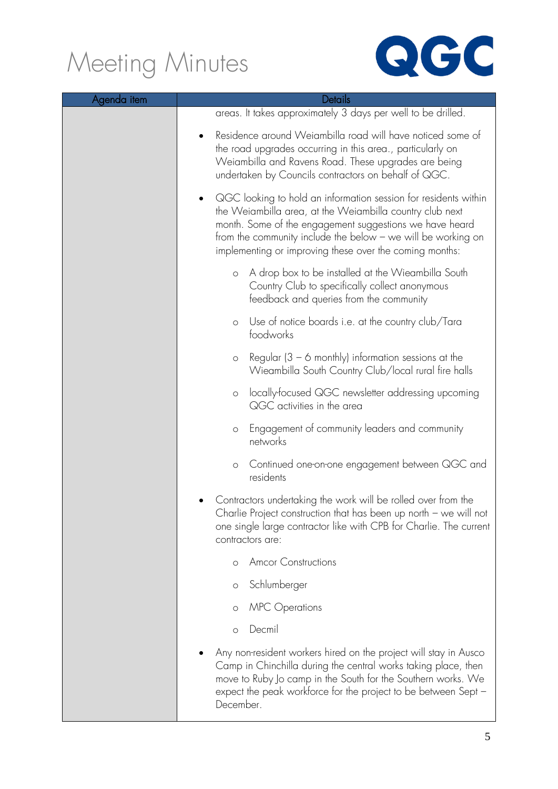

| Agenda item | Details                                                                                                                                                                                                                                                                                                           |
|-------------|-------------------------------------------------------------------------------------------------------------------------------------------------------------------------------------------------------------------------------------------------------------------------------------------------------------------|
|             | areas. It takes approximately 3 days per well to be drilled.                                                                                                                                                                                                                                                      |
|             | Residence around Weiambilla road will have noticed some of<br>the road upgrades occurring in this area., particularly on<br>Weiambilla and Ravens Road. These upgrades are being<br>undertaken by Councils contractors on behalf of QGC.                                                                          |
|             | QGC looking to hold an information session for residents within<br>the Weiambilla area, at the Weiambilla country club next<br>month. Some of the engagement suggestions we have heard<br>from the community include the below - we will be working on<br>implementing or improving these over the coming months: |
|             | A drop box to be installed at the Wieambilla South<br>$\circ$<br>Country Club to specifically collect anonymous<br>feedback and queries from the community                                                                                                                                                        |
|             | Use of notice boards i.e. at the country club/Tara<br>$\circ$<br>foodworks                                                                                                                                                                                                                                        |
|             | Regular $(3 - 6$ monthly) information sessions at the<br>$\circ$<br>Wieambilla South Country Club/local rural fire halls                                                                                                                                                                                          |
|             | locally-focused QGC newsletter addressing upcoming<br>$\circ$<br>QGC activities in the area                                                                                                                                                                                                                       |
|             | Engagement of community leaders and community<br>$\circ$<br>networks                                                                                                                                                                                                                                              |
|             | Continued one-on-one engagement between QGC and<br>$\circ$<br>residents                                                                                                                                                                                                                                           |
|             | Contractors undertaking the work will be rolled over from the<br>Charlie Project construction that has been up north $-$ we will not<br>one single large contractor like with CPB for Charlie. The current<br>contractors are:                                                                                    |
|             | <b>Amcor Constructions</b><br>$\circ$                                                                                                                                                                                                                                                                             |
|             | Schlumberger<br>$\circ$                                                                                                                                                                                                                                                                                           |
|             | <b>MPC</b> Operations<br>O                                                                                                                                                                                                                                                                                        |
|             | Decmil<br>$\circ$                                                                                                                                                                                                                                                                                                 |
|             | Any non-resident workers hired on the project will stay in Ausco<br>Camp in Chinchilla during the central works taking place, then<br>move to Ruby Jo camp in the South for the Southern works. We<br>expect the peak workforce for the project to be between Sept -<br>December.                                 |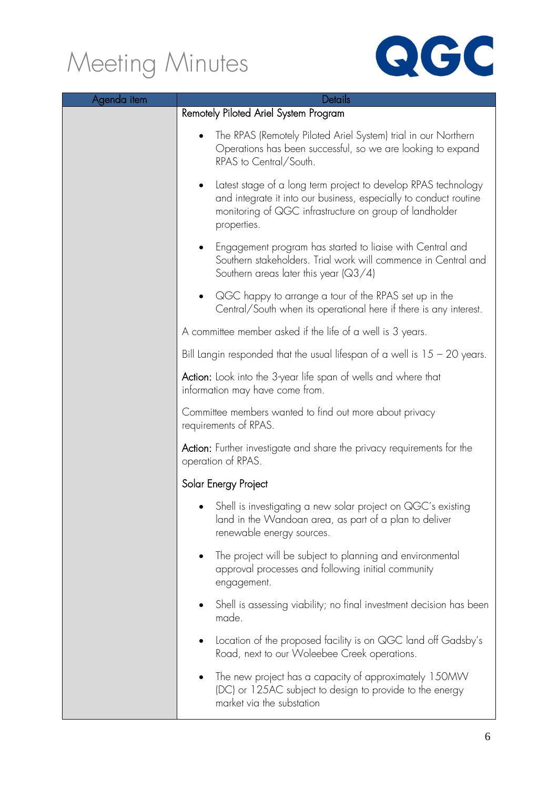

| Agenda item | <b>Details</b>                                                                                                                                                                                                             |
|-------------|----------------------------------------------------------------------------------------------------------------------------------------------------------------------------------------------------------------------------|
|             | Remotely Piloted Ariel System Program                                                                                                                                                                                      |
|             | The RPAS (Remotely Piloted Ariel System) trial in our Northern<br>Operations has been successful, so we are looking to expand<br>RPAS to Central/South.                                                                    |
|             | Latest stage of a long term project to develop RPAS technology<br>$\bullet$<br>and integrate it into our business, especially to conduct routine<br>monitoring of QGC infrastructure on group of landholder<br>properties. |
|             | Engagement program has started to liaise with Central and<br>$\bullet$<br>Southern stakeholders. Trial work will commence in Central and<br>Southern areas later this year $(Q3/4)$                                        |
|             | QGC happy to arrange a tour of the RPAS set up in the<br>$\bullet$<br>Central/South when its operational here if there is any interest.                                                                                    |
|             | A committee member asked if the life of a well is 3 years.                                                                                                                                                                 |
|             | Bill Langin responded that the usual lifespan of a well is $15 - 20$ years.                                                                                                                                                |
|             | Action: Look into the 3-year life span of wells and where that<br>information may have come from.                                                                                                                          |
|             | Committee members wanted to find out more about privacy<br>requirements of RPAS.                                                                                                                                           |
|             | <b>Action:</b> Further investigate and share the privacy requirements for the<br>operation of RPAS.                                                                                                                        |
|             | Solar Energy Project                                                                                                                                                                                                       |
|             | Shell is investigating a new solar project on QGC's existing<br>land in the Wandoan area, as part of a plan to deliver<br>renewable energy sources.                                                                        |
|             | The project will be subject to planning and environmental<br>approval processes and following initial community<br>engagement.                                                                                             |
|             | Shell is assessing viability; no final investment decision has been<br>made.                                                                                                                                               |
|             | Location of the proposed facility is on QGC land off Gadsby's<br>Road, next to our Woleebee Creek operations.                                                                                                              |
|             | The new project has a capacity of approximately 150MW<br>(DC) or 125AC subject to design to provide to the energy<br>market via the substation                                                                             |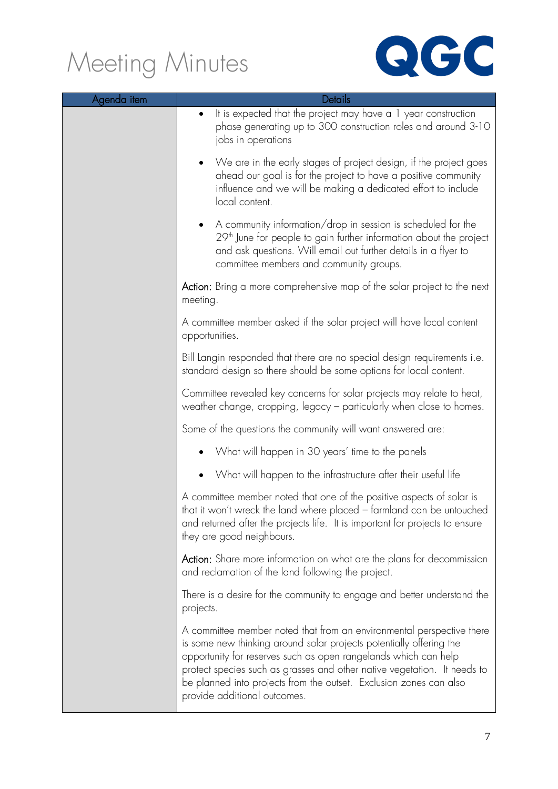

| Agenda item | <b>Details</b>                                                                                                                                                                                                                                                                                                                                                                                    |  |
|-------------|---------------------------------------------------------------------------------------------------------------------------------------------------------------------------------------------------------------------------------------------------------------------------------------------------------------------------------------------------------------------------------------------------|--|
|             | It is expected that the project may have a 1 year construction<br>$\bullet$<br>phase generating up to 300 construction roles and around 3-10<br>jobs in operations                                                                                                                                                                                                                                |  |
|             | We are in the early stages of project design, if the project goes<br>$\bullet$<br>ahead our goal is for the project to have a positive community<br>influence and we will be making a dedicated effort to include<br>local content.                                                                                                                                                               |  |
|             | A community information/drop in session is scheduled for the<br>$\bullet$<br>29 <sup>th</sup> June for people to gain further information about the project<br>and ask questions. Will email out further details in a flyer to<br>committee members and community groups.                                                                                                                         |  |
|             | Action: Bring a more comprehensive map of the solar project to the next<br>meeting.                                                                                                                                                                                                                                                                                                               |  |
|             | A committee member asked if the solar project will have local content<br>opportunities.                                                                                                                                                                                                                                                                                                           |  |
|             | Bill Langin responded that there are no special design requirements i.e.<br>standard design so there should be some options for local content.                                                                                                                                                                                                                                                    |  |
|             | Committee revealed key concerns for solar projects may relate to heat,<br>weather change, cropping, legacy - particularly when close to homes.                                                                                                                                                                                                                                                    |  |
|             | Some of the questions the community will want answered are:                                                                                                                                                                                                                                                                                                                                       |  |
|             | What will happen in 30 years' time to the panels                                                                                                                                                                                                                                                                                                                                                  |  |
|             | What will happen to the infrastructure after their useful life<br>$\bullet$                                                                                                                                                                                                                                                                                                                       |  |
|             | A committee member noted that one of the positive aspects of solar is<br>that it won't wreck the land where placed – farmland can be untouched<br>and returned after the projects life. It is important for projects to ensure<br>they are good neighbours.                                                                                                                                       |  |
|             | Action: Share more information on what are the plans for decommission<br>and reclamation of the land following the project.                                                                                                                                                                                                                                                                       |  |
|             | There is a desire for the community to engage and better understand the<br>projects.                                                                                                                                                                                                                                                                                                              |  |
|             | A committee member noted that from an environmental perspective there<br>is some new thinking around solar projects potentially offering the<br>opportunity for reserves such as open rangelands which can help<br>protect species such as grasses and other native vegetation. It needs to<br>be planned into projects from the outset. Exclusion zones can also<br>provide additional outcomes. |  |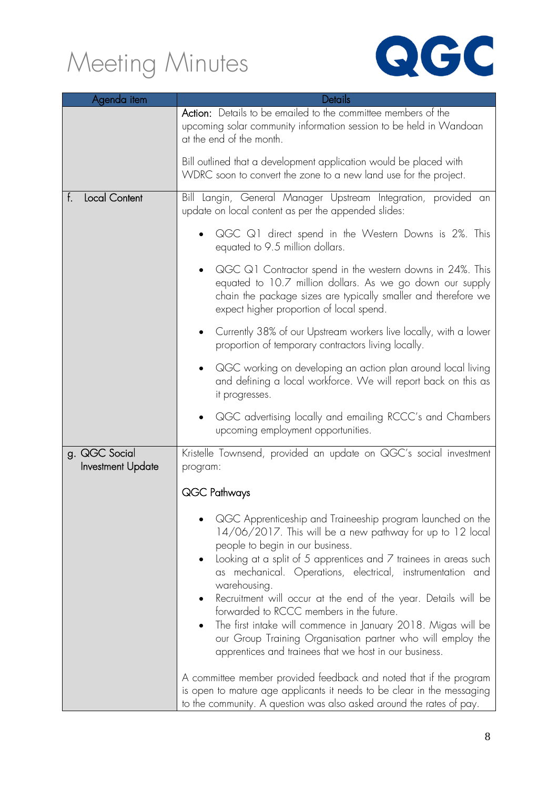

| Agenda item                        | Details                                                                                                                                                                                                                                                                                                                                                                                                                                                                                                                                                                                                                            |
|------------------------------------|------------------------------------------------------------------------------------------------------------------------------------------------------------------------------------------------------------------------------------------------------------------------------------------------------------------------------------------------------------------------------------------------------------------------------------------------------------------------------------------------------------------------------------------------------------------------------------------------------------------------------------|
|                                    | Action: Details to be emailed to the committee members of the<br>upcoming solar community information session to be held in Wandoan<br>at the end of the month.                                                                                                                                                                                                                                                                                                                                                                                                                                                                    |
|                                    | Bill outlined that a development application would be placed with<br>WDRC soon to convert the zone to a new land use for the project.                                                                                                                                                                                                                                                                                                                                                                                                                                                                                              |
| <b>Local Content</b><br>t.         | Bill Langin, General Manager Upstream Integration, provided an<br>update on local content as per the appended slides:                                                                                                                                                                                                                                                                                                                                                                                                                                                                                                              |
|                                    | QGC Q1 direct spend in the Western Downs is 2%. This<br>equated to 9.5 million dollars.                                                                                                                                                                                                                                                                                                                                                                                                                                                                                                                                            |
|                                    | QGC Q1 Contractor spend in the western downs in 24%. This<br>equated to 10.7 million dollars. As we go down our supply<br>chain the package sizes are typically smaller and therefore we<br>expect higher proportion of local spend.                                                                                                                                                                                                                                                                                                                                                                                               |
|                                    | Currently 38% of our Upstream workers live locally, with a lower<br>proportion of temporary contractors living locally.                                                                                                                                                                                                                                                                                                                                                                                                                                                                                                            |
|                                    | QGC working on developing an action plan around local living<br>and defining a local workforce. We will report back on this as<br>it progresses.                                                                                                                                                                                                                                                                                                                                                                                                                                                                                   |
|                                    | QGC advertising locally and emailing RCCC's and Chambers<br>upcoming employment opportunities.                                                                                                                                                                                                                                                                                                                                                                                                                                                                                                                                     |
| g. QGC Social<br>Investment Update | Kristelle Townsend, provided an update on QGC's social investment<br>program:                                                                                                                                                                                                                                                                                                                                                                                                                                                                                                                                                      |
|                                    | QGC Pathways                                                                                                                                                                                                                                                                                                                                                                                                                                                                                                                                                                                                                       |
|                                    | QGC Apprenticeship and Traineeship program launched on the<br>14/06/2017. This will be a new pathway for up to 12 local<br>people to begin in our business.<br>Looking at a split of 5 apprentices and $\overline{7}$ trainees in areas such<br>as mechanical. Operations, electrical, instrumentation and<br>warehousing.<br>Recruitment will occur at the end of the year. Details will be<br>forwarded to RCCC members in the future.<br>The first intake will commence in January 2018. Migas will be<br>our Group Training Organisation partner who will employ the<br>apprentices and trainees that we host in our business. |
|                                    | A committee member provided feedback and noted that if the program<br>is open to mature age applicants it needs to be clear in the messaging<br>to the community. A question was also asked around the rates of pay.                                                                                                                                                                                                                                                                                                                                                                                                               |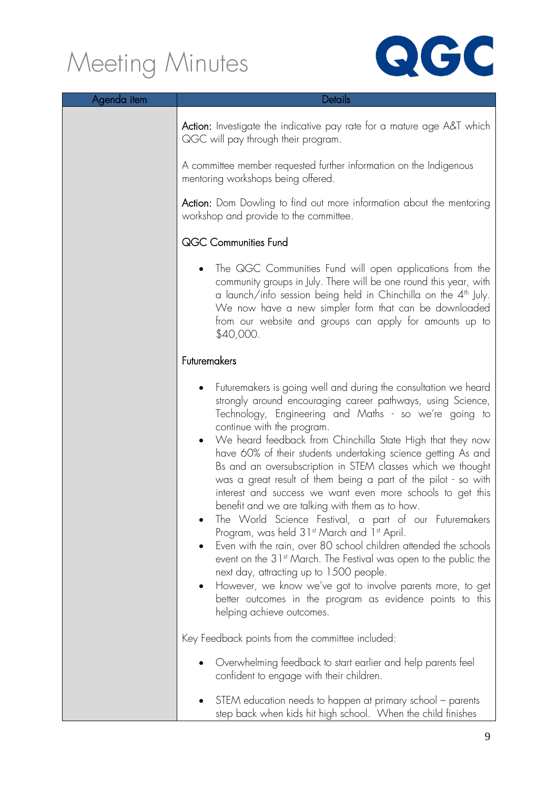

| Agenda item | Details                                                                                                                                                                                                                                                                                                                                                                                                                                                                                                                                                                                                                                                                                                                                                                                                                                                                                                                                                                                                                                                                                  |
|-------------|------------------------------------------------------------------------------------------------------------------------------------------------------------------------------------------------------------------------------------------------------------------------------------------------------------------------------------------------------------------------------------------------------------------------------------------------------------------------------------------------------------------------------------------------------------------------------------------------------------------------------------------------------------------------------------------------------------------------------------------------------------------------------------------------------------------------------------------------------------------------------------------------------------------------------------------------------------------------------------------------------------------------------------------------------------------------------------------|
|             | <b>Action:</b> Investigate the indicative pay rate for a mature age A&T which<br>QGC will pay through their program.                                                                                                                                                                                                                                                                                                                                                                                                                                                                                                                                                                                                                                                                                                                                                                                                                                                                                                                                                                     |
|             | A committee member requested further information on the Indigenous<br>mentoring workshops being offered.                                                                                                                                                                                                                                                                                                                                                                                                                                                                                                                                                                                                                                                                                                                                                                                                                                                                                                                                                                                 |
|             | <b>Action:</b> Dom Dowling to find out more information about the mentoring<br>workshop and provide to the committee.                                                                                                                                                                                                                                                                                                                                                                                                                                                                                                                                                                                                                                                                                                                                                                                                                                                                                                                                                                    |
|             | QGC Communities Fund                                                                                                                                                                                                                                                                                                                                                                                                                                                                                                                                                                                                                                                                                                                                                                                                                                                                                                                                                                                                                                                                     |
|             | The QGC Communities Fund will open applications from the<br>community groups in July. There will be one round this year, with<br>a launch/info session being held in Chinchilla on the 4 <sup>th</sup> July.<br>We now have a new simpler form that can be downloaded<br>from our website and groups can apply for amounts up to<br>\$40,000.                                                                                                                                                                                                                                                                                                                                                                                                                                                                                                                                                                                                                                                                                                                                            |
|             | Futuremakers                                                                                                                                                                                                                                                                                                                                                                                                                                                                                                                                                                                                                                                                                                                                                                                                                                                                                                                                                                                                                                                                             |
|             | Futuremakers is going well and during the consultation we heard<br>strongly around encouraging career pathways, using Science,<br>Technology, Engineering and Maths - so we're going to<br>continue with the program.<br>We heard feedback from Chinchilla State High that they now<br>$\bullet$<br>have 60% of their students undertaking science getting As and<br>Bs and an oversubscription in STEM classes which we thought<br>was a great result of them being a part of the pilot - so with<br>interest and success we want even more schools to get this<br>benefit and we are talking with them as to how.<br>The World Science Festival, a part of our Futuremakers<br>Program, was held 31st March and 1st April.<br>Even with the rain, over 80 school children attended the schools<br>event on the 31 <sup>st</sup> March. The Festival was open to the public the<br>next day, attracting up to 1500 people.<br>However, we know we've got to involve parents more, to get<br>٠<br>better outcomes in the program as evidence points to this<br>helping achieve outcomes. |
|             | Key Feedback points from the committee included:                                                                                                                                                                                                                                                                                                                                                                                                                                                                                                                                                                                                                                                                                                                                                                                                                                                                                                                                                                                                                                         |
|             | Overwhelming feedback to start earlier and help parents feel<br>confident to engage with their children.                                                                                                                                                                                                                                                                                                                                                                                                                                                                                                                                                                                                                                                                                                                                                                                                                                                                                                                                                                                 |
|             | STEM education needs to happen at primary school - parents<br>step back when kids hit high school. When the child finishes                                                                                                                                                                                                                                                                                                                                                                                                                                                                                                                                                                                                                                                                                                                                                                                                                                                                                                                                                               |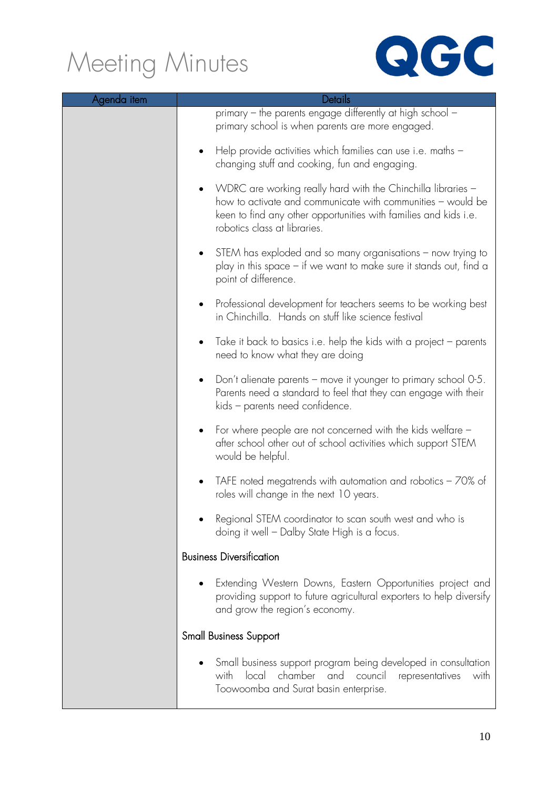

| Agenda item | Details                                                                                                                                                                                                                         |
|-------------|---------------------------------------------------------------------------------------------------------------------------------------------------------------------------------------------------------------------------------|
|             | primary – the parents engage differently at high school –<br>primary school is when parents are more engaged.                                                                                                                   |
|             | Help provide activities which families can use i.e. maths -<br>changing stuff and cooking, fun and engaging.                                                                                                                    |
|             | WDRC are working really hard with the Chinchilla libraries -<br>how to activate and communicate with communities - would be<br>keen to find any other opportunities with families and kids i.e.<br>robotics class at libraries. |
|             | STEM has exploded and so many organisations – now trying to<br>play in this space - if we want to make sure it stands out, find a<br>point of difference.                                                                       |
|             | Professional development for teachers seems to be working best<br>in Chinchilla. Hands on stuff like science festival                                                                                                           |
|             | Take it back to basics i.e. help the kids with a project - parents<br>need to know what they are doing                                                                                                                          |
|             | Don't alienate parents – move it younger to primary school 0-5.<br>Parents need a standard to feel that they can engage with their<br>kids - parents need confidence.                                                           |
|             | For where people are not concerned with the kids welfare -<br>٠<br>after school other out of school activities which support STEM<br>would be helpful.                                                                          |
|             | TAFE noted megatrends with automation and robotics $-70\%$ of<br>roles will change in the next 10 years.                                                                                                                        |
|             | Regional STEM coordinator to scan south west and who is<br>doing it well - Dalby State High is a focus.                                                                                                                         |
|             | <b>Business Diversification</b>                                                                                                                                                                                                 |
|             | Extending Western Downs, Eastern Opportunities project and<br>providing support to future agricultural exporters to help diversify<br>and grow the region's economy.                                                            |
|             | <b>Small Business Support</b>                                                                                                                                                                                                   |
|             | Small business support program being developed in consultation<br>chamber and council<br>with<br>local<br>representatives<br>with<br>Toowoomba and Surat basin enterprise.                                                      |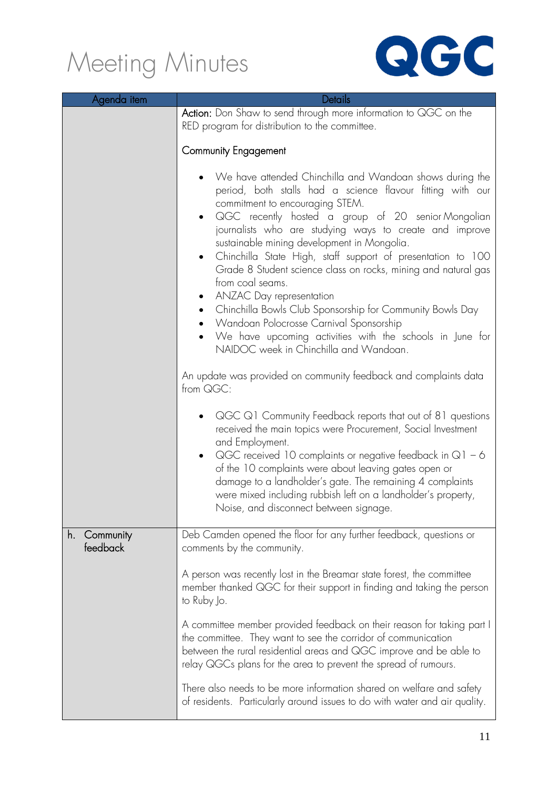

| Agenda item                 | Details                                                                                                                                                                                                                                                                                                                                                                                                                                                                                                                                                                                                                                                                                                                                                                      |  |
|-----------------------------|------------------------------------------------------------------------------------------------------------------------------------------------------------------------------------------------------------------------------------------------------------------------------------------------------------------------------------------------------------------------------------------------------------------------------------------------------------------------------------------------------------------------------------------------------------------------------------------------------------------------------------------------------------------------------------------------------------------------------------------------------------------------------|--|
|                             | Action: Don Shaw to send through more information to QGC on the<br>RED program for distribution to the committee.                                                                                                                                                                                                                                                                                                                                                                                                                                                                                                                                                                                                                                                            |  |
|                             | <b>Community Engagement</b>                                                                                                                                                                                                                                                                                                                                                                                                                                                                                                                                                                                                                                                                                                                                                  |  |
|                             | We have attended Chinchilla and Wandoan shows during the<br>period, both stalls had a science flavour fitting with our<br>commitment to encouraging STEM.<br>QGC recently hosted a group of 20 senior Mongolian<br>$\bullet$<br>journalists who are studying ways to create and improve<br>sustainable mining development in Mongolia.<br>Chinchilla State High, staff support of presentation to 100<br>$\bullet$<br>Grade 8 Student science class on rocks, mining and natural gas<br>from coal seams.<br>ANZAC Day representation<br>$\bullet$<br>Chinchilla Bowls Club Sponsorship for Community Bowls Day<br>$\bullet$<br>Wandoan Polocrosse Carnival Sponsorship<br>We have upcoming activities with the schools in June for<br>NAIDOC week in Chinchilla and Wandoan. |  |
|                             | An update was provided on community feedback and complaints data<br>from QGC:                                                                                                                                                                                                                                                                                                                                                                                                                                                                                                                                                                                                                                                                                                |  |
|                             | $QGCQ1$ Community Feedback reports that out of 81 questions<br>received the main topics were Procurement, Social Investment<br>and Employment.<br>QGC received 10 complaints or negative feedback in $Q1 - 6$<br>$\bullet$<br>of the 10 complaints were about leaving gates open or<br>damage to a landholder's gate. The remaining 4 complaints<br>were mixed including rubbish left on a landholder's property,<br>Noise, and disconnect between signage.                                                                                                                                                                                                                                                                                                                  |  |
| Community<br>h.<br>feedback | Deb Camden opened the floor for any further feedback, questions or<br>comments by the community.                                                                                                                                                                                                                                                                                                                                                                                                                                                                                                                                                                                                                                                                             |  |
|                             | A person was recently lost in the Breamar state forest, the committee<br>member thanked QGC for their support in finding and taking the person<br>to Ruby Jo.                                                                                                                                                                                                                                                                                                                                                                                                                                                                                                                                                                                                                |  |
|                             | A committee member provided feedback on their reason for taking part I<br>the committee. They want to see the corridor of communication<br>between the rural residential areas and QGC improve and be able to<br>relay QGCs plans for the area to prevent the spread of rumours.                                                                                                                                                                                                                                                                                                                                                                                                                                                                                             |  |
|                             | There also needs to be more information shared on welfare and safety<br>of residents. Particularly around issues to do with water and air quality.                                                                                                                                                                                                                                                                                                                                                                                                                                                                                                                                                                                                                           |  |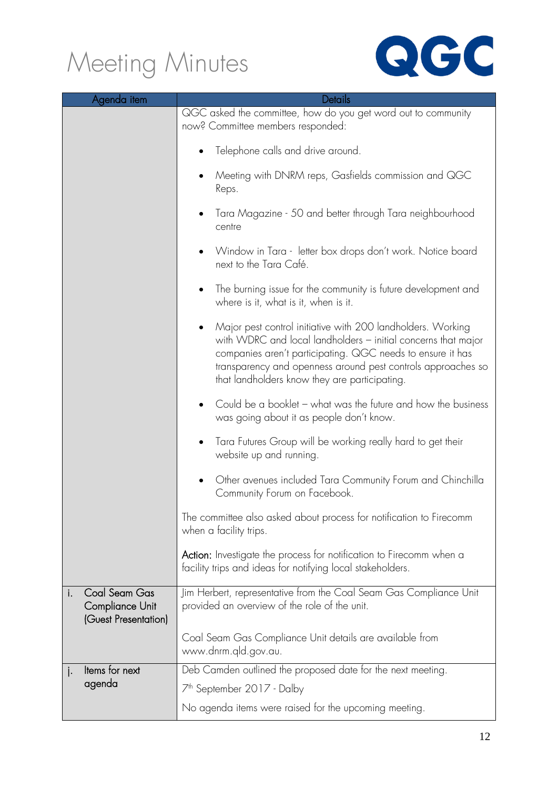

| Agenda item                                                           |  | Details                                                                                                                                                                                                                                                                                                     |
|-----------------------------------------------------------------------|--|-------------------------------------------------------------------------------------------------------------------------------------------------------------------------------------------------------------------------------------------------------------------------------------------------------------|
|                                                                       |  | QGC asked the committee, how do you get word out to community<br>now? Committee members responded:                                                                                                                                                                                                          |
|                                                                       |  | Telephone calls and drive around.                                                                                                                                                                                                                                                                           |
|                                                                       |  | Meeting with DNRM reps, Gasfields commission and QGC<br>Reps.                                                                                                                                                                                                                                               |
|                                                                       |  | Tara Magazine - 50 and better through Tara neighbourhood<br>centre                                                                                                                                                                                                                                          |
|                                                                       |  | Window in Tara - letter box drops don't work. Notice board<br>next to the Tara Café.                                                                                                                                                                                                                        |
|                                                                       |  | The burning issue for the community is future development and<br>where is it, what is it, when is it.                                                                                                                                                                                                       |
|                                                                       |  | Major pest control initiative with 200 landholders. Working<br>with WDRC and local landholders - initial concerns that major<br>companies aren't participating. QGC needs to ensure it has<br>transparency and openness around pest controls approaches so<br>that landholders know they are participating. |
|                                                                       |  | Could be a booklet – what was the future and how the business<br>was going about it as people don't know.                                                                                                                                                                                                   |
|                                                                       |  | Tara Futures Group will be working really hard to get their<br>website up and running.                                                                                                                                                                                                                      |
|                                                                       |  | Other avenues included Tara Community Forum and Chinchilla<br>Community Forum on Facebook.                                                                                                                                                                                                                  |
|                                                                       |  | The committee also asked about process for notification to Firecomm<br>when a facility trips.                                                                                                                                                                                                               |
|                                                                       |  | <b>Action:</b> Investigate the process for notification to Firecomm when a<br>facility trips and ideas for notifying local stakeholders.                                                                                                                                                                    |
| Coal Seam Gas<br>i.<br><b>Compliance Unit</b><br>(Guest Presentation) |  | Jim Herbert, representative from the Coal Seam Gas Compliance Unit<br>provided an overview of the role of the unit.                                                                                                                                                                                         |
|                                                                       |  | Coal Seam Gas Compliance Unit details are available from<br>www.dnrm.qld.gov.au.                                                                                                                                                                                                                            |
| Items for next<br>j٠                                                  |  | Deb Camden outlined the proposed date for the next meeting.                                                                                                                                                                                                                                                 |
| agenda                                                                |  | 7 <sup>th</sup> September 2017 - Dalby                                                                                                                                                                                                                                                                      |
|                                                                       |  | No agenda items were raised for the upcoming meeting.                                                                                                                                                                                                                                                       |